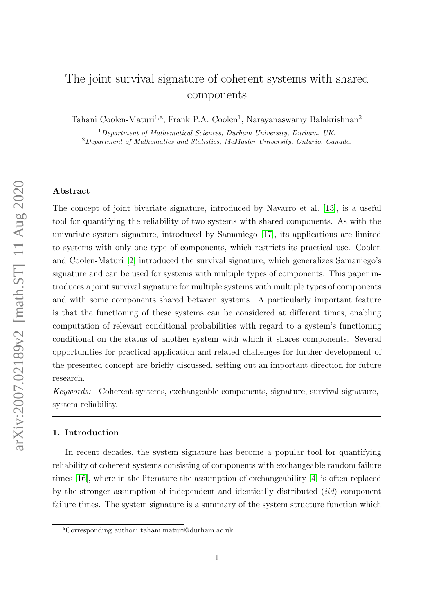# The joint survival signature of coherent systems with shared components

Tahani Coolen-Maturi<sup>1,a</sup>, Frank P.A. Coolen<sup>1</sup>, Narayanaswamy Balakrishnan<sup>2</sup>

<sup>1</sup>Department of Mathematical Sciences, Durham University, Durham, UK. <sup>2</sup>Department of Mathematics and Statistics, McMaster University, Ontario, Canada.

# Abstract

The concept of joint bivariate signature, introduced by Navarro et al. [\[13\]](#page-17-0), is a useful tool for quantifying the reliability of two systems with shared components. As with the univariate system signature, introduced by Samaniego [\[17\]](#page-18-0), its applications are limited to systems with only one type of components, which restricts its practical use. Coolen and Coolen-Maturi [\[2\]](#page-16-0) introduced the survival signature, which generalizes Samaniego's signature and can be used for systems with multiple types of components. This paper introduces a joint survival signature for multiple systems with multiple types of components and with some components shared between systems. A particularly important feature is that the functioning of these systems can be considered at different times, enabling computation of relevant conditional probabilities with regard to a system's functioning conditional on the status of another system with which it shares components. Several opportunities for practical application and related challenges for further development of the presented concept are briefly discussed, setting out an important direction for future research.

Keywords: Coherent systems, exchangeable components, signature, survival signature, system reliability.

# 1. Introduction

In recent decades, the system signature has become a popular tool for quantifying reliability of coherent systems consisting of components with exchangeable random failure times [\[16\]](#page-18-1), where in the literature the assumption of exchangeability [\[4\]](#page-16-1) is often replaced by the stronger assumption of independent and identically distributed (iid) component failure times. The system signature is a summary of the system structure function which

<sup>a</sup>Corresponding author: tahani.maturi@durham.ac.uk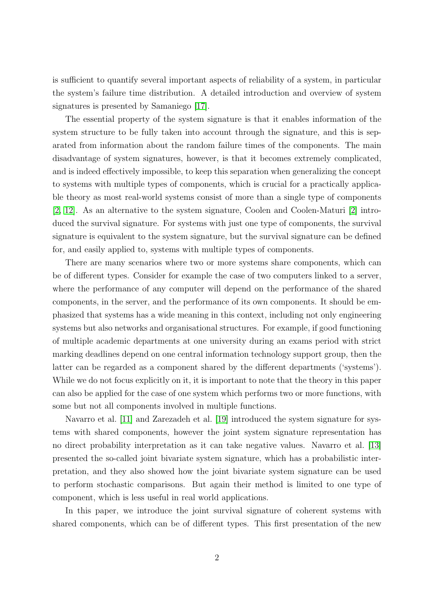is sufficient to quantify several important aspects of reliability of a system, in particular the system's failure time distribution. A detailed introduction and overview of system signatures is presented by Samaniego [\[17\]](#page-18-0).

The essential property of the system signature is that it enables information of the system structure to be fully taken into account through the signature, and this is separated from information about the random failure times of the components. The main disadvantage of system signatures, however, is that it becomes extremely complicated, and is indeed effectively impossible, to keep this separation when generalizing the concept to systems with multiple types of components, which is crucial for a practically applicable theory as most real-world systems consist of more than a single type of components [\[2,](#page-16-0) [12\]](#page-17-1). As an alternative to the system signature, Coolen and Coolen-Maturi [\[2\]](#page-16-0) introduced the survival signature. For systems with just one type of components, the survival signature is equivalent to the system signature, but the survival signature can be defined for, and easily applied to, systems with multiple types of components.

There are many scenarios where two or more systems share components, which can be of different types. Consider for example the case of two computers linked to a server, where the performance of any computer will depend on the performance of the shared components, in the server, and the performance of its own components. It should be emphasized that systems has a wide meaning in this context, including not only engineering systems but also networks and organisational structures. For example, if good functioning of multiple academic departments at one university during an exams period with strict marking deadlines depend on one central information technology support group, then the latter can be regarded as a component shared by the different departments ('systems'). While we do not focus explicitly on it, it is important to note that the theory in this paper can also be applied for the case of one system which performs two or more functions, with some but not all components involved in multiple functions.

Navarro et al. [\[11\]](#page-17-2) and Zarezadeh et al. [\[19\]](#page-18-2) introduced the system signature for systems with shared components, however the joint system signature representation has no direct probability interpretation as it can take negative values. Navarro et al. [\[13\]](#page-17-0) presented the so-called joint bivariate system signature, which has a probabilistic interpretation, and they also showed how the joint bivariate system signature can be used to perform stochastic comparisons. But again their method is limited to one type of component, which is less useful in real world applications.

In this paper, we introduce the joint survival signature of coherent systems with shared components, which can be of different types. This first presentation of the new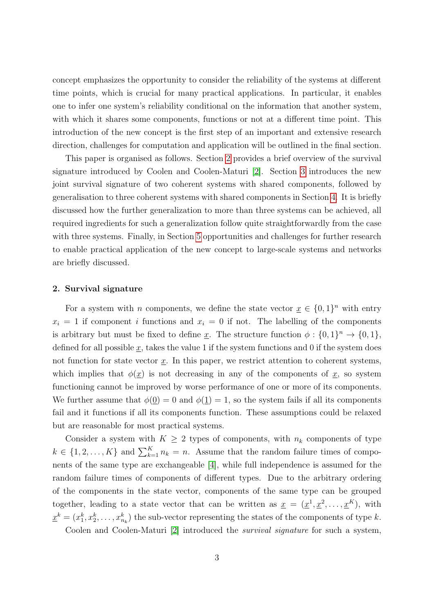concept emphasizes the opportunity to consider the reliability of the systems at different time points, which is crucial for many practical applications. In particular, it enables one to infer one system's reliability conditional on the information that another system, with which it shares some components, functions or not at a different time point. This introduction of the new concept is the first step of an important and extensive research direction, challenges for computation and application will be outlined in the final section.

This paper is organised as follows. Section [2](#page-2-0) provides a brief overview of the survival signature introduced by Coolen and Coolen-Maturi [\[2\]](#page-16-0). Section [3](#page-4-0) introduces the new joint survival signature of two coherent systems with shared components, followed by generalisation to three coherent systems with shared components in Section [4.](#page-12-0) It is briefly discussed how the further generalization to more than three systems can be achieved, all required ingredients for such a generalization follow quite straightforwardly from the case with three systems. Finally, in Section [5](#page-15-0) opportunities and challenges for further research to enable practical application of the new concept to large-scale systems and networks are briefly discussed.

#### <span id="page-2-0"></span>2. Survival signature

For a system with *n* components, we define the state vector  $\underline{x} \in \{0,1\}^n$  with entry  $x_i = 1$  if component i functions and  $x_i = 0$  if not. The labelling of the components is arbitrary but must be fixed to define x. The structure function  $\phi: \{0,1\}^n \to \{0,1\},\$ defined for all possible x, takes the value 1 if the system functions and 0 if the system does not function for state vector  $\underline{x}$ . In this paper, we restrict attention to coherent systems, which implies that  $\phi(\underline{x})$  is not decreasing in any of the components of  $\underline{x}$ , so system functioning cannot be improved by worse performance of one or more of its components. We further assume that  $\phi(0) = 0$  and  $\phi(1) = 1$ , so the system fails if all its components fail and it functions if all its components function. These assumptions could be relaxed but are reasonable for most practical systems.

Consider a system with  $K \geq 2$  types of components, with  $n_k$  components of type  $k \in \{1, 2, \ldots, K\}$  and  $\sum_{k=1}^{K} n_k = n$ . Assume that the random failure times of components of the same type are exchangeable [\[4\]](#page-16-1), while full independence is assumed for the random failure times of components of different types. Due to the arbitrary ordering of the components in the state vector, components of the same type can be grouped together, leading to a state vector that can be written as  $\underline{x} = (\underline{x}^1, \underline{x}^2, \dots, \underline{x}^K)$ , with  $\underline{x}^k = (x_1^k, x_2^k, \dots, x_{n_k}^k)$  the sub-vector representing the states of the components of type k.

Coolen and Coolen-Maturi [\[2\]](#page-16-0) introduced the survival signature for such a system,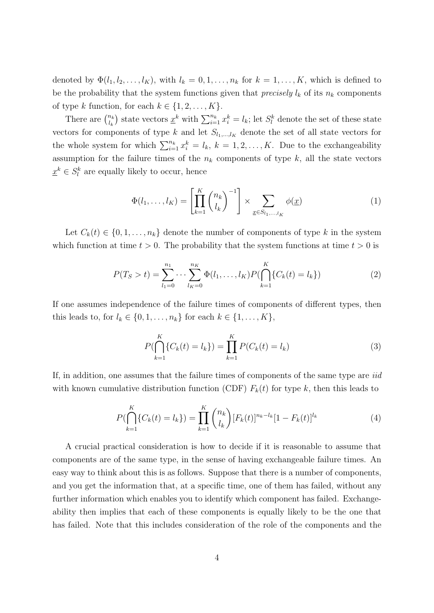denoted by  $\Phi(l_1, l_2, \ldots, l_K)$ , with  $l_k = 0, 1, \ldots, n_k$  for  $k = 1, \ldots, K$ , which is defined to be the probability that the system functions given that *precisely*  $l_k$  of its  $n_k$  components of type k function, for each  $k \in \{1, 2, \ldots, K\}$ .

There are  $\binom{n_k}{k}$  $\binom{n_k}{l_k}$  state vectors  $\underline{x}^k$  with  $\sum_{i=1}^{n_k} x_i^k = l_k$ ; let  $S_l^k$  denote the set of these state vectors for components of type k and let  $S_{l_1,\dots,l_K}$  denote the set of all state vectors for the whole system for which  $\sum_{i=1}^{n_k} x_i^k = l_k, k = 1, 2, ..., K$ . Due to the exchangeability assumption for the failure times of the  $n_k$  components of type  $k$ , all the state vectors  $\underline{x}^k \in S_l^k$  are equally likely to occur, hence

$$
\Phi(l_1,\ldots,l_K) = \left[\prod_{k=1}^K \binom{n_k}{l_k}^{-1}\right] \times \sum_{\underline{x} \in S_{l_1,\ldots,l_K}} \phi(\underline{x}) \tag{1}
$$

Let  $C_k(t) \in \{0, 1, \ldots, n_k\}$  denote the number of components of type k in the system which function at time  $t > 0$ . The probability that the system functions at time  $t > 0$  is

$$
P(T_S > t) = \sum_{l_1=0}^{n_1} \cdots \sum_{l_K=0}^{n_K} \Phi(l_1, \ldots, l_K) P(\bigcap_{k=1}^K \{C_k(t) = l_k\})
$$
 (2)

If one assumes independence of the failure times of components of different types, then this leads to, for  $l_k \in \{0, 1, \ldots, n_k\}$  for each  $k \in \{1, \ldots, K\}$ ,

$$
P(\bigcap_{k=1}^{K} \{C_k(t) = l_k\}) = \prod_{k=1}^{K} P(C_k(t) = l_k)
$$
\n(3)

If, in addition, one assumes that the failure times of components of the same type are iid with known cumulative distribution function (CDF)  $F_k(t)$  for type k, then this leads to

$$
P(\bigcap_{k=1}^{K} \{C_k(t) = l_k\}) = \prod_{k=1}^{K} {n_k \choose l_k} [F_k(t)]^{n_k - l_k} [1 - F_k(t)]^{l_k}
$$
\n(4)

A crucial practical consideration is how to decide if it is reasonable to assume that components are of the same type, in the sense of having exchangeable failure times. An easy way to think about this is as follows. Suppose that there is a number of components, and you get the information that, at a specific time, one of them has failed, without any further information which enables you to identify which component has failed. Exchangeability then implies that each of these components is equally likely to be the one that has failed. Note that this includes consideration of the role of the components and the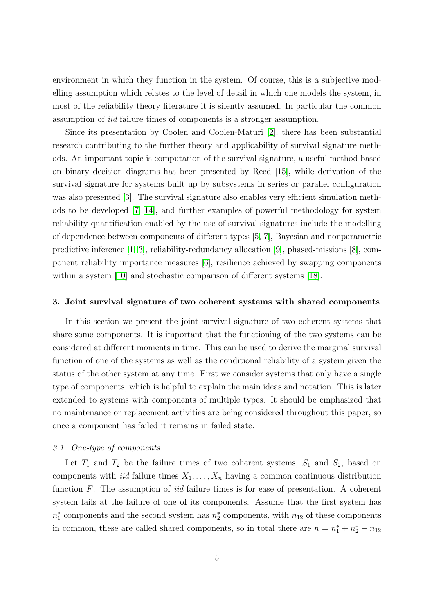environment in which they function in the system. Of course, this is a subjective modelling assumption which relates to the level of detail in which one models the system, in most of the reliability theory literature it is silently assumed. In particular the common assumption of iid failure times of components is a stronger assumption.

Since its presentation by Coolen and Coolen-Maturi [\[2\]](#page-16-0), there has been substantial research contributing to the further theory and applicability of survival signature methods. An important topic is computation of the survival signature, a useful method based on binary decision diagrams has been presented by Reed [\[15\]](#page-18-3), while derivation of the survival signature for systems built up by subsystems in series or parallel configuration was also presented [\[3\]](#page-16-2). The survival signature also enables very efficient simulation methods to be developed [\[7,](#page-17-3) [14\]](#page-17-4), and further examples of powerful methodology for system reliability quantification enabled by the use of survival signatures include the modelling of dependence between components of different types [\[5,](#page-17-5) [7\]](#page-17-3), Bayesian and nonparametric predictive inference [\[1,](#page-16-3) [3\]](#page-16-2), reliability-redundancy allocation [\[9\]](#page-17-6), phased-missions [\[8\]](#page-17-7), component reliability importance measures [\[6\]](#page-17-8), resilience achieved by swapping components within a system [\[10\]](#page-17-9) and stochastic comparison of different systems [\[18\]](#page-18-4).

## <span id="page-4-0"></span>3. Joint survival signature of two coherent systems with shared components

In this section we present the joint survival signature of two coherent systems that share some components. It is important that the functioning of the two systems can be considered at different moments in time. This can be used to derive the marginal survival function of one of the systems as well as the conditional reliability of a system given the status of the other system at any time. First we consider systems that only have a single type of components, which is helpful to explain the main ideas and notation. This is later extended to systems with components of multiple types. It should be emphasized that no maintenance or replacement activities are being considered throughout this paper, so once a component has failed it remains in failed state.

## 3.1. One-type of components

Let  $T_1$  and  $T_2$  be the failure times of two coherent systems,  $S_1$  and  $S_2$ , based on components with *iid* failure times  $X_1, \ldots, X_n$  having a common continuous distribution function  $F$ . The assumption of *iid* failure times is for ease of presentation. A coherent system fails at the failure of one of its components. Assume that the first system has  $n_1^*$  components and the second system has  $n_2^*$  components, with  $n_{12}$  of these components in common, these are called shared components, so in total there are  $n = n_1^* + n_2^* - n_{12}$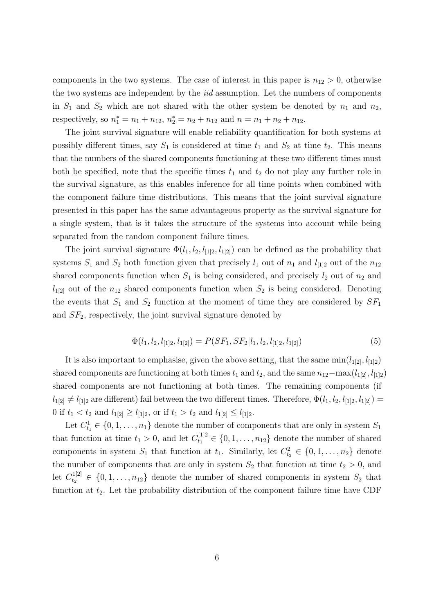components in the two systems. The case of interest in this paper is  $n_{12} > 0$ , otherwise the two systems are independent by the iid assumption. Let the numbers of components in  $S_1$  and  $S_2$  which are not shared with the other system be denoted by  $n_1$  and  $n_2$ , respectively, so  $n_1^* = n_1 + n_{12}$ ,  $n_2^* = n_2 + n_{12}$  and  $n = n_1 + n_2 + n_{12}$ .

The joint survival signature will enable reliability quantification for both systems at possibly different times, say  $S_1$  is considered at time  $t_1$  and  $S_2$  at time  $t_2$ . This means that the numbers of the shared components functioning at these two different times must both be specified, note that the specific times  $t_1$  and  $t_2$  do not play any further role in the survival signature, as this enables inference for all time points when combined with the component failure time distributions. This means that the joint survival signature presented in this paper has the same advantageous property as the survival signature for a single system, that is it takes the structure of the systems into account while being separated from the random component failure times.

The joint survival signature  $\Phi(l_1, l_2, l_{112}, l_{121})$  can be defined as the probability that systems  $S_1$  and  $S_2$  both function given that precisely  $l_1$  out of  $n_1$  and  $l_{[1]2}$  out of the  $n_{12}$ shared components function when  $S_1$  is being considered, and precisely  $l_2$  out of  $n_2$  and  $l_{1[2]}$  out of the  $n_{12}$  shared components function when  $S_2$  is being considered. Denoting the events that  $S_1$  and  $S_2$  function at the moment of time they are considered by  $SF_1$ and  $SF<sub>2</sub>$ , respectively, the joint survival signature denoted by

$$
\Phi(l_1, l_2, l_{1|2}, l_{1|2}) = P(SF_1, SF_2|l_1, l_2, l_{1|2}, l_{1|2})
$$
\n
$$
(5)
$$

It is also important to emphasise, given the above setting, that the same  $min(l_{1[2]}, l_{[1]2})$ shared components are functioning at both times  $t_1$  and  $t_2$ , and the same  $n_{12}-\max(l_{1[2]}, l_{1[2]})$ shared components are not functioning at both times. The remaining components (if  $l_{1[2]} \neq l_{1[2]}$  are different) fail between the two different times. Therefore,  $\Phi(l_1, l_2, l_{1[2]}, l_{1[2]}) =$ 0 if  $t_1 < t_2$  and  $l_{1[2]} \ge l_{[1]2}$ , or if  $t_1 > t_2$  and  $l_{1[2]} \le l_{[1]2}$ .

Let  $C_{t_1}^1 \in \{0, 1, \ldots, n_1\}$  denote the number of components that are only in system  $S_1$ that function at time  $t_1 > 0$ , and let  $C_{t_1}^{[1]2} \in \{0, 1, \ldots, n_{12}\}$  denote the number of shared components in system  $S_1$  that function at  $t_1$ . Similarly, let  $C_{t_2}^2 \in \{0, 1, \ldots, n_2\}$  denote the number of components that are only in system  $S_2$  that function at time  $t_2 > 0$ , and let  $C_{t_2}^{1[2]} \in \{0, 1, \ldots, n_{12}\}\$  denote the number of shared components in system  $S_2$  that function at  $t_2$ . Let the probability distribution of the component failure time have CDF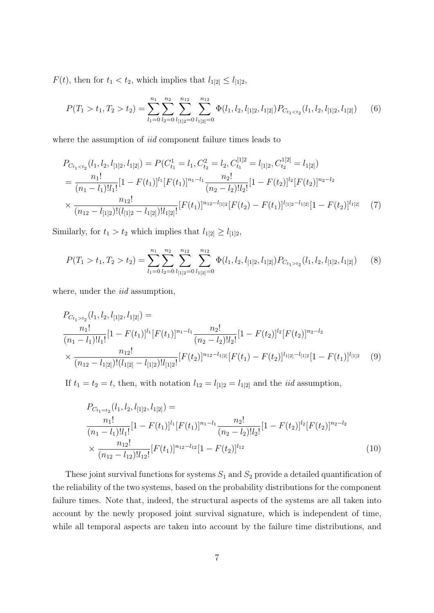$F(t)$ , then for  $t_1 < t_2$ , which implies that  $l_{1[2]} \leq l_{[1]2}$ ,

$$
P(T_1 > t_1, T_2 > t_2) = \sum_{l_1=0}^{n_1} \sum_{l_2=0}^{n_2} \sum_{l_{[1]2}=0}^{n_{12}} \sum_{l_{1[2]}}^{n_{12}} \Phi(l_1, l_2, l_{[1]2}, l_{1[2]}) P_{C_{t_1 < t_2}}(l_1, l_2, l_{[1]2}, l_{1[2]})
$$
(6)

where the assumption of *iid* component failure times leads to

$$
P_{C_{t_1  
\n
$$
= \frac{n_1!}{(n_1 - l_1)! l_1!} [1 - F(t_1)]^{l_1} [F(t_1)]^{n_1 - l_1} \frac{n_2!}{(n_2 - l_2)! l_2!} [1 - F(t_2)]^{l_2} [F(t_2)]^{n_2 - l_2}
$$
  
\n
$$
\times \frac{n_{12}!}{(n_{12} - l_{[1]2})! (l_{[1]2} - l_{1[2]})! l_{1[2]!}} [F(t_1)]^{n_{12} - l_{[1]2}} [F(t_2) - F(t_1)]^{l_{[1]2} - l_{1[2]}} [1 - F(t_2)]^{l_{1[2]}} \tag{7}
$$
$$

Similarly, for  $t_1 > t_2$  which implies that  $l_{1[2]} \geq l_{[1]2}$ ,

$$
P(T_1 > t_1, T_2 > t_2) = \sum_{l_1=0}^{n_1} \sum_{l_2=0}^{n_2} \sum_{l_{[1]2}=0}^{n_{12}} \sum_{l_{1[2]}}^{n_{12}} \Phi(l_1, l_2, l_{[1]2}, l_{1[2]}) P_{C_{t_1>t_2}}(l_1, l_2, l_{[1]2}, l_{1[2]})
$$
(8)

where, under the *iid* assumption,

$$
P_{C_{t_1>t_2}}(l_1, l_2, l_{[1]2}, l_{[2]}) =
$$
  
\n
$$
\frac{n_1!}{(n_1 - l_1)! l_1!} [1 - F(t_1)]^{l_1} [F(t_1)]^{n_1 - l_1} \frac{n_2!}{(n_2 - l_2)! l_2!} [1 - F(t_2)]^{l_2} [F(t_2)]^{n_2 - l_2}
$$
  
\n
$$
\times \frac{n_{12}!}{(n_{12} - l_{1[2]})! (l_{1[2]} - l_{[1]2})! l_{[1]2}!} [F(t_2)]^{n_{12} - l_{1[2]}} [F(t_1) - F(t_2)]^{l_{1[2]} - l_{[1]2}} [1 - F(t_1)]^{l_{[1]2}} \qquad (9)
$$

If  $t_1 = t_2 = t$ , then, with notation  $l_{12} = l_{12} = l_{12}$  and the *iid* assumption,

$$
P_{C_{t_1=t_2}}(l_1, l_2, l_{[1]2}, l_{1[2]}) =
$$
  
\n
$$
\frac{n_1!}{(n_1 - l_1)! l_1!} [1 - F(t_1)]^{l_1} [F(t_1)]^{n_1 - l_1} \frac{n_2!}{(n_2 - l_2)! l_2!} [1 - F(t_2)]^{l_2} [F(t_2)]^{n_2 - l_2}
$$
  
\n
$$
\times \frac{n_{12}!}{(n_{12} - l_{12})! l_{12}!} [F(t_1)]^{n_{12} - l_{12}} [1 - F(t_2)]^{l_{12}}
$$
\n(10)

These joint survival functions for systems  $S_1$  and  $S_2$  provide a detailed quantification of the reliability of the two systems, based on the probability distributions for the component failure times. Note that, indeed, the structural aspects of the systems are all taken into account by the newly proposed joint survival signature, which is independent of time, while all temporal aspects are taken into account by the failure time distributions, and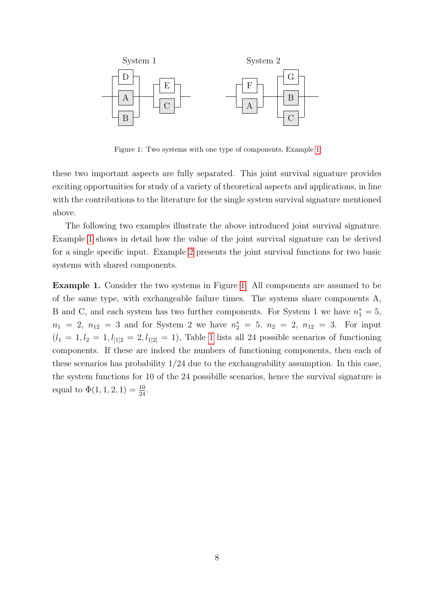

<span id="page-7-0"></span>Figure 1: Two systems with one type of components, Example [1](#page-7-0)

these two important aspects are fully separated. This joint survival signature provides exciting opportunities for study of a variety of theoretical aspects and applications, in line with the contributions to the literature for the single system survival signature mentioned above.

The following two examples illustrate the above introduced joint survival signature. Example [1](#page-7-1) shows in detail how the value of the joint survival signature can be derived for a single specific input. Example [2](#page-8-0) presents the joint survival functions for two basic systems with shared components.

<span id="page-7-1"></span>Example 1. Consider the two systems in Figure [1.](#page-7-0) All components are assumed to be of the same type, with exchangeable failure times. The systems share components A, B and C, and each system has two further components. For System 1 we have  $n_1^* = 5$ ,  $n_1 = 2, n_{12} = 3$  and for System 2 we have  $n_2^* = 5, n_2 = 2, n_{12} = 3$ . For input  $(l_1 = 1, l_2 = 1, l_{12} = 2, l_{12} = 1)$  $(l_1 = 1, l_2 = 1, l_{12} = 2, l_{12} = 1)$  $(l_1 = 1, l_2 = 1, l_{12} = 2, l_{12} = 1)$ , Table 1 lists all 24 possible scenarios of functioning components. If these are indeed the numbers of functioning components, then each of these scenarios has probability 1/24 due to the exchangeability assumption. In this case, the system functions for 10 of the 24 possibille scenarios, hence the survival signature is equal to  $\Phi(1, 1, 2, 1) = \frac{10}{24}$ .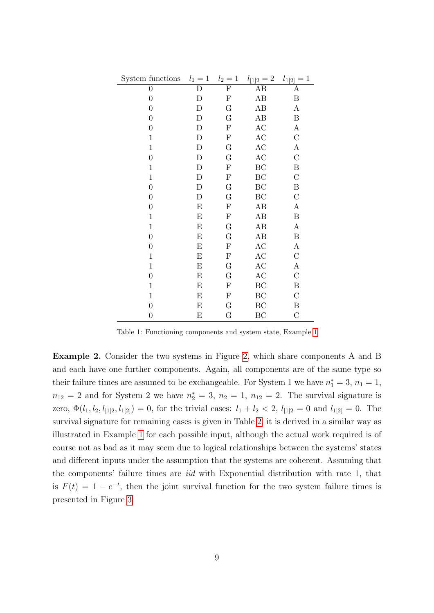| System functions | $\mathbf{1}$<br>$l_1 =$   | $l_2=1$        | $l_{12}=2$    | $\mathbf{1}$<br>$l_{1[2]}$ |
|------------------|---------------------------|----------------|---------------|----------------------------|
| $\boldsymbol{0}$ | $\mathbf D$               | $\overline{F}$ | AB            | Α                          |
| $\boldsymbol{0}$ | $\mathbf D$               | $_{\rm F}$     | AB            | B                          |
| $\boldsymbol{0}$ | D                         | G              | AB            | $\boldsymbol{A}$           |
| $\boldsymbol{0}$ | $\mathbf D$               | G              | AB            | B                          |
| $\boldsymbol{0}$ | D                         | ${\bf F}$      | $\rm AC$      | $\boldsymbol{A}$           |
| $\mathbf{1}$     | $\mathbf D$               | ${\bf F}$      | AC            | $\mathbf C$                |
| $1\,$            | $\mathbf D$               | G              | $\mathbf{AC}$ | А                          |
| $\boldsymbol{0}$ | $\mathbf D$               | $\mathbf G$    | AC            | $\mathcal{C}$              |
| $\mathbf{1}$     | $\mathbf D$               | ${\bf F}$      | BC            | B                          |
| $\mathbf{1}$     | $\mathbf D$               | ${\bf F}$      | BC            | $\mathcal{C}$              |
| $\boldsymbol{0}$ | $\mathbf D$               | G              | BC            | B                          |
| $\boldsymbol{0}$ | ${\rm D}$                 | G              | BC            | $\mathcal{C}$              |
| $\boldsymbol{0}$ | E                         | ${\bf F}$      | AB            | А                          |
| $\mathbf{1}$     | $\boldsymbol{\mathrm{E}}$ | ${\bf F}$      | AB            | $\, {\bf B}$               |
| $1\,$            | E                         | G              | AB            | $\boldsymbol{A}$           |
| $\boldsymbol{0}$ | $\boldsymbol{\mathrm{E}}$ | G              | AB            | B                          |
| $\boldsymbol{0}$ | E                         | ${\bf F}$      | AC            | $\boldsymbol{A}$           |
| $\mathbf{1}$     | ${\bf E}$                 | ${\bf F}$      | AC            | $\mathcal{C}$              |
| $\mathbf{1}$     | E                         | G              | AC            | A                          |
| $\boldsymbol{0}$ | $\boldsymbol{\mathrm{E}}$ | G              | AC            | $\mathcal{C}$              |
| $\mathbf{1}$     | $\boldsymbol{\mathrm{E}}$ | ${\bf F}$      | BC            | $\boldsymbol{B}$           |
| $\mathbf{1}$     | $\boldsymbol{\mathrm{E}}$ | ${\bf F}$      | BC            | $\mathcal{C}$              |
| $\boldsymbol{0}$ | E                         | $\mathbf G$    | BC            | B                          |
| $\boldsymbol{0}$ | E                         | G              | BC            | $\mathcal{C}$              |

Table 1: Functioning components and system state, Example [1](#page-7-1)

<span id="page-8-0"></span>Example 2. Consider the two systems in Figure [2,](#page-8-0) which share components A and B and each have one further components. Again, all components are of the same type so their failure times are assumed to be exchangeable. For System 1 we have  $n_1^* = 3$ ,  $n_1 = 1$ ,  $n_{12} = 2$  and for System 2 we have  $n_2^* = 3$ ,  $n_2 = 1$ ,  $n_{12} = 2$ . The survival signature is zero,  $\Phi(l_1, l_2, l_{12}, l_{12}) = 0$ , for the trivial cases:  $l_1 + l_2 < 2$ ,  $l_{112} = 0$  and  $l_{121} = 0$ . The survival signature for remaining cases is given in Table [2,](#page-9-0) it is derived in a similar way as illustrated in Example [1](#page-7-1) for each possible input, although the actual work required is of course not as bad as it may seem due to logical relationships between the systems' states and different inputs under the assumption that the systems are coherent. Assuming that the components' failure times are iid with Exponential distribution with rate 1, that is  $F(t) = 1 - e^{-t}$ , then the joint survival function for the two system failure times is presented in Figure [3.](#page-9-1)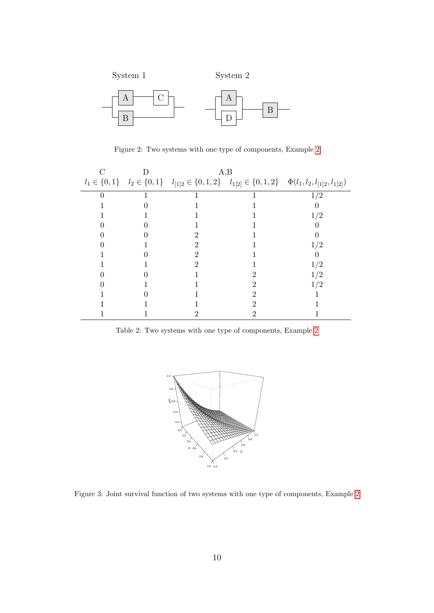

<span id="page-9-0"></span>Figure 2: Two systems with one type of components, Example [2](#page-8-0)

|  | A, B |  |                                                                                                                                         |
|--|------|--|-----------------------------------------------------------------------------------------------------------------------------------------|
|  |      |  | $l_1 \in \{0,1\} \quad l_2 \in \{0,1\} \quad l_{[1]2} \in \{0,1,2\} \quad l_{1[2]} \in \{0,1,2\} \quad \Phi(l_1,l_2,l_{[1]2},l_{1[2]})$ |
|  |      |  | 1/2                                                                                                                                     |
|  |      |  |                                                                                                                                         |
|  |      |  | 1/2                                                                                                                                     |
|  |      |  |                                                                                                                                         |
|  |      |  |                                                                                                                                         |
|  |      |  | 1/2                                                                                                                                     |
|  |      |  |                                                                                                                                         |
|  |      |  | 1/2                                                                                                                                     |
|  |      |  |                                                                                                                                         |
|  |      |  |                                                                                                                                         |
|  |      |  |                                                                                                                                         |
|  |      |  |                                                                                                                                         |
|  |      |  |                                                                                                                                         |

Table 2: Two systems with one type of components, Example [2](#page-8-0)

<span id="page-9-1"></span>

Figure 3: Joint survival function of two systems with one type of components, Example [2](#page-8-0)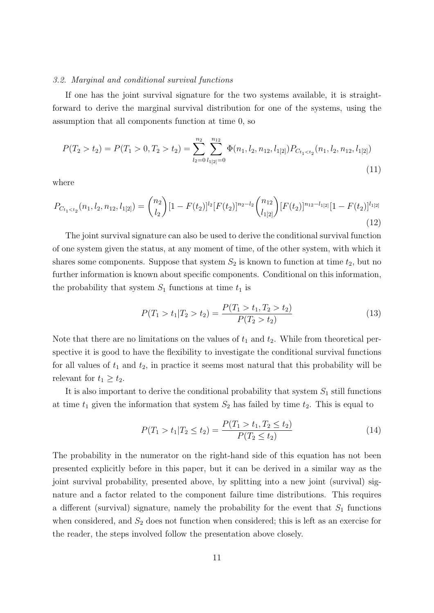#### 3.2. Marginal and conditional survival functions

If one has the joint survival signature for the two systems available, it is straightforward to derive the marginal survival distribution for one of the systems, using the assumption that all components function at time 0, so

$$
P(T_2 > t_2) = P(T_1 > 0, T_2 > t_2) = \sum_{l_2=0}^{n_2} \sum_{l_1 \mid 2 \mid 0}^{n_1 \mid 2} \Phi(n_1, l_2, n_{12}, l_1 \mid 2) P_{C_{t_1 < t_2}}(n_1, l_2, n_{12}, l_1 \mid 2)
$$
\n
$$
(11)
$$

where

$$
P_{C_{t_1
$$

The joint survival signature can also be used to derive the conditional survival function of one system given the status, at any moment of time, of the other system, with which it shares some components. Suppose that system  $S_2$  is known to function at time  $t_2$ , but no further information is known about specific components. Conditional on this information, the probability that system  $S_1$  functions at time  $t_1$  is

$$
P(T_1 > t_1 | T_2 > t_2) = \frac{P(T_1 > t_1, T_2 > t_2)}{P(T_2 > t_2)}
$$
\n(13)

Note that there are no limitations on the values of  $t_1$  and  $t_2$ . While from theoretical perspective it is good to have the flexibility to investigate the conditional survival functions for all values of  $t_1$  and  $t_2$ , in practice it seems most natural that this probability will be relevant for  $t_1 \geq t_2$ .

It is also important to derive the conditional probability that system  $S_1$  still functions at time  $t_1$  given the information that system  $S_2$  has failed by time  $t_2$ . This is equal to

$$
P(T_1 > t_1 | T_2 \le t_2) = \frac{P(T_1 > t_1, T_2 \le t_2)}{P(T_2 \le t_2)}
$$
\n(14)

The probability in the numerator on the right-hand side of this equation has not been presented explicitly before in this paper, but it can be derived in a similar way as the joint survival probability, presented above, by splitting into a new joint (survival) signature and a factor related to the component failure time distributions. This requires a different (survival) signature, namely the probability for the event that  $S_1$  functions when considered, and  $S_2$  does not function when considered; this is left as an exercise for the reader, the steps involved follow the presentation above closely.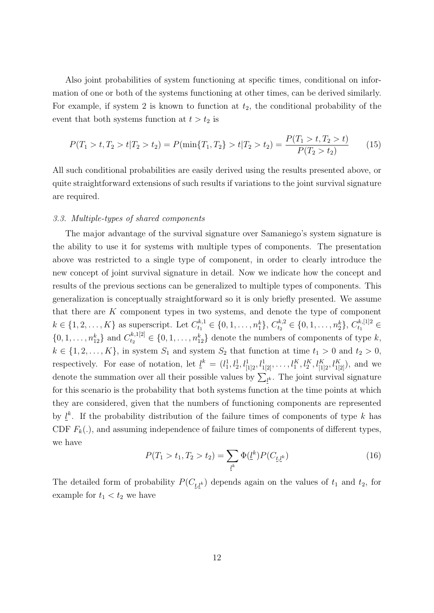Also joint probabilities of system functioning at specific times, conditional on information of one or both of the systems functioning at other times, can be derived similarly. For example, if system 2 is known to function at  $t_2$ , the conditional probability of the event that both systems function at  $t > t_2$  is

$$
P(T_1 > t, T_2 > t | T_2 > t_2) = P(\min\{T_1, T_2\} > t | T_2 > t_2) = \frac{P(T_1 > t, T_2 > t)}{P(T_2 > t_2)}
$$
(15)

All such conditional probabilities are easily derived using the results presented above, or quite straightforward extensions of such results if variations to the joint survival signature are required.

## 3.3. Multiple-types of shared components

The major advantage of the survival signature over Samaniego's system signature is the ability to use it for systems with multiple types of components. The presentation above was restricted to a single type of component, in order to clearly introduce the new concept of joint survival signature in detail. Now we indicate how the concept and results of the previous sections can be generalized to multiple types of components. This generalization is conceptually straightforward so it is only briefly presented. We assume that there are  $K$  component types in two systems, and denote the type of component  $k \in \{1, 2, \ldots, K\}$  as superscript. Let  $C_{t_1}^{k,1} \in \{0, 1, \ldots, n_1^k\}, C_{t_2}^{k,2} \in \{0, 1, \ldots, n_2^k\}, C_{t_1}^{k,1|2} \in$  $\{0, 1, \ldots, n_{12}^k\}$  and  $C_{t_2}^{k,1[2]} \in \{0, 1, \ldots, n_{12}^k\}$  denote the numbers of components of type k,  $k \in \{1, 2, \ldots, K\}$ , in system  $S_1$  and system  $S_2$  that function at time  $t_1 > 0$  and  $t_2 > 0$ , respectively. For ease of notation, let  $\underline{l}^k = (l_1^1, l_2^1, l_{1|2}^1, l_{1|2}^1, \ldots, l_1^K, l_2^K, l_{[1|2}^K, l_{1|2}^K)$ , and we denote the summation over all their possible values by  $\sum_{\underline{l}^k}$ . The joint survival signature for this scenario is the probability that both systems function at the time points at which they are considered, given that the numbers of functioning components are represented by  $\underline{l}^k$ . If the probability distribution of the failure times of components of type k has CDF  $F_k(.)$ , and assuming independence of failure times of components of different types, we have

$$
P(T_1 > t_1, T_2 > t_2) = \sum_{\underline{l}^k} \Phi(\underline{l}^k) P(C_{\underline{t}, \underline{l}^k})
$$
\n(16)

The detailed form of probability  $P(C_{t,l^k})$  depends again on the values of  $t_1$  and  $t_2$ , for example for  $t_1 < t_2$  we have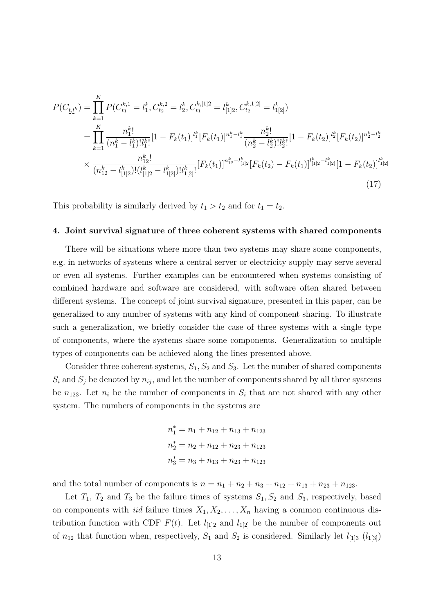$$
P(C_{\underline{t},\underline{l}^k}) = \prod_{k=1}^K P(C_{t_1}^{k,1} = l_1^k, C_{t_2}^{k,2} = l_2^k, C_{t_1}^{k,[1]^2} = l_{[1]^2}^k, C_{t_2}^{k,1[2]} = l_{1[2]}^k)
$$
  
\n
$$
= \prod_{k=1}^K \frac{n_1^{k!}}{(n_1^k - l_1^k)! l_1^k!} [1 - F_k(t_1)]^{l_1^k} [F_k(t_1)]^{n_1^k - l_1^k} \frac{n_2^{k!}}{(n_2^k - l_2^k)! l_2^k!} [1 - F_k(t_2)]^{l_2^k} [F_k(t_2)]^{n_2^k - l_2^k}
$$
  
\n
$$
\times \frac{n_{12}^k!}{(n_{12}^k - l_{[1]2}^k)! (l_{[1]2}^k - l_{[1]2}^k)! l_{[1]2}^k} [F_k(t_1)]^{n_{12}^k - l_{[1]2}^k} [F_k(t_2) - F_k(t_1)]^{l_{[1]2}^k - l_{[1]2}^k} [1 - F_k(t_2)]^{l_1^k} [1]
$$
\n(17)

This probability is similarly derived by  $t_1 > t_2$  and for  $t_1 = t_2$ .

## <span id="page-12-0"></span>4. Joint survival signature of three coherent systems with shared components

There will be situations where more than two systems may share some components, e.g. in networks of systems where a central server or electricity supply may serve several or even all systems. Further examples can be encountered when systems consisting of combined hardware and software are considered, with software often shared between different systems. The concept of joint survival signature, presented in this paper, can be generalized to any number of systems with any kind of component sharing. To illustrate such a generalization, we briefly consider the case of three systems with a single type of components, where the systems share some components. Generalization to multiple types of components can be achieved along the lines presented above.

Consider three coherent systems,  $S_1, S_2$  and  $S_3$ . Let the number of shared components  $S_i$  and  $S_j$  be denoted by  $n_{ij}$ , and let the number of components shared by all three systems be  $n_{123}$ . Let  $n_i$  be the number of components in  $S_i$  that are not shared with any other system. The numbers of components in the systems are

$$
n_1^* = n_1 + n_{12} + n_{13} + n_{123}
$$
  
\n
$$
n_2^* = n_2 + n_{12} + n_{23} + n_{123}
$$
  
\n
$$
n_3^* = n_3 + n_{13} + n_{23} + n_{123}
$$

and the total number of components is  $n = n_1 + n_2 + n_3 + n_{12} + n_{13} + n_{23} + n_{123}$ .

Let  $T_1$ ,  $T_2$  and  $T_3$  be the failure times of systems  $S_1, S_2$  and  $S_3$ , respectively, based on components with *iid* failure times  $X_1, X_2, \ldots, X_n$  having a common continuous distribution function with CDF  $F(t)$ . Let  $l_{1|2}$  and  $l_{1|2}$  be the number of components out of  $n_{12}$  that function when, respectively,  $S_1$  and  $S_2$  is considered. Similarly let  $l_{113}$  ( $l_{131}$ )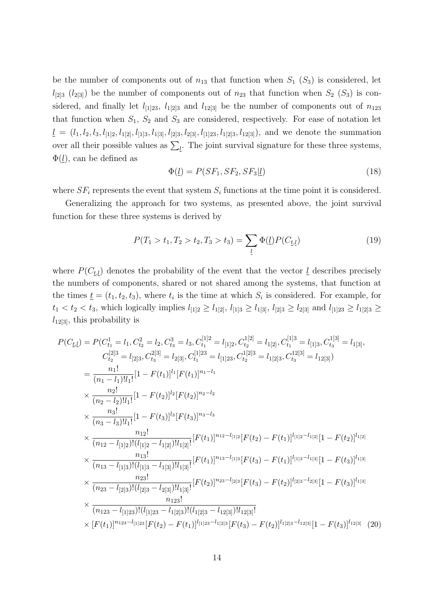be the number of components out of  $n_{13}$  that function when  $S_1$   $(S_3)$  is considered, let  $l_{[2]3}$  ( $l_{[2]3]}$ ) be the number of components out of  $n_{23}$  that function when  $S_2$  ( $S_3$ ) is considered, and finally let  $l_{[1]23}$ ,  $l_{1[2]3}$  and  $l_{12[3]}$  be the number of components out of  $n_{123}$ that function when  $S_1$ ,  $S_2$  and  $S_3$  are considered, respectively. For ease of notation let  $\underline{l} = (l_1, l_2, l_3, l_{12}, l_{12}, l_{13}, l_{13}, l_{13}, l_{23}, l_{23}, l_{123}, l_{123}, l_{123})$ , and we denote the summation over all their possible values as  $\sum_{l}$ . The joint survival signature for these three systems,  $\Phi(\underline{l})$ , can be defined as

$$
\Phi(\underline{l}) = P(SF_1, SF_2, SF_3 | \underline{l}) \tag{18}
$$

where  $SF_i$  represents the event that system  $S_i$  functions at the time point it is considered.

Generalizing the approach for two systems, as presented above, the joint survival function for these three systems is derived by

$$
P(T_1 > t_1, T_2 > t_2, T_3 > t_3) = \sum_{\underline{l}} \Phi(\underline{l}) P(C_{\underline{t}, \underline{l}})
$$
\n(19)

where  $P(C_{t,l})$  denotes the probability of the event that the vector  $l$  describes precisely the numbers of components, shared or not shared among the systems, that function at the times  $\underline{t} = (t_1, t_2, t_3)$ , where  $t_i$  is the time at which  $S_i$  is considered. For example, for  $t_1 < t_2 < t_3$ , which logically implies  $l_{[1]2} \ge l_{1[2]}$ ,  $l_{[1]3} \ge l_{1[3]}$ ,  $l_{[2]3} \ge l_{2[3]}$  and  $l_{[1]23} \ge l_{1[2]3} \ge l_{1[4]}$  $l_{12[3]}$ , this probability is

$$
P(C_{\underline{t},\underline{l}}) = P(C_{t_1}^1 = l_1, C_{t_2}^2 = l_2, C_{t_3}^3 = l_3, C_{t_1}^{[1]2} = l_{[1]2}, C_{t_2}^{[1]2} = l_{1[2]}, C_{t_1}^{[1]3} = l_{[1]3}, C_{t_3}^{1[3]} = l_{1[3]},
$$
  
\n
$$
C_{t_2}^{[2]3} = l_{[2]3}, C_{t_3}^{2[3]} = l_{2[3]}, C_{t_1}^{[1]23} = l_{[1]23}, C_{t_2}^{1[2]3} = l_{1[2]3}, C_{t_3}^{1[2]3} = l_{12[3]})
$$
  
\n
$$
= \frac{n_1!}{(n_1 - l_1)! l_1!} [1 - F(t_1)]^{l_1} [F(t_1)]^{n_1 - l_1}
$$
  
\n
$$
\times \frac{n_2!}{(n_2 - l_2)! l_1!} [1 - F(t_2)]^{l_2} [F(t_2)]^{n_2 - l_2}
$$
  
\n
$$
\times \frac{n_1!}{(n_3 - l_3)! l_1!} [1 - F(t_3)]^{l_3} [F(t_3)]^{n_3 - l_3}
$$
  
\n
$$
\times \frac{n_{12}!}{(n_{12} - l_{[1]2})! (l_{[1]2} - l_{1[2]})! l_{1[2]}!} [F(t_1)]^{n_{12} - l_{[1]2}} [F(t_2) - F(t_1)]^{l_{[1]2} - l_{1[2]}} [1 - F(t_2)]^{l_{1[2]}}
$$
  
\n
$$
\times \frac{n_{13}!}{(n_{13} - l_{[1]3})! (l_{[1]3} - l_{1[3]})! l_{1[3]}!} [F(t_1)]^{n_{13} - l_{[1]3}} [F(t_3) - F(t_1)]^{l_{[1]3} - l_{1[3]} [1 - F(t_3)]^{l_{1[3]}}
$$
  
\n
$$
\times \frac{n_{23}!}{(n_{23} - l_{[2]3})! (l_{[2]3} - l_{2[3]})! l_{1[3]}!} [F(t_2)]^{n_{23} - l_{[2]
$$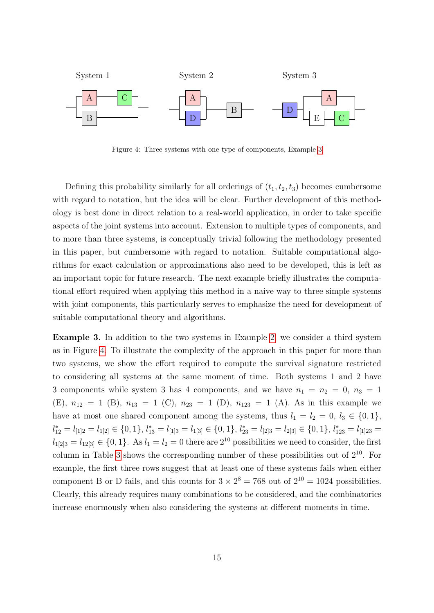

<span id="page-14-1"></span>Figure 4: Three systems with one type of components, Example [3](#page-14-0)

Defining this probability similarly for all orderings of  $(t_1, t_2, t_3)$  becomes cumbersome with regard to notation, but the idea will be clear. Further development of this methodology is best done in direct relation to a real-world application, in order to take specific aspects of the joint systems into account. Extension to multiple types of components, and to more than three systems, is conceptually trivial following the methodology presented in this paper, but cumbersome with regard to notation. Suitable computational algorithms for exact calculation or approximations also need to be developed, this is left as an important topic for future research. The next example briefly illustrates the computational effort required when applying this method in a naive way to three simple systems with joint components, this particularly serves to emphasize the need for development of suitable computational theory and algorithms.

<span id="page-14-0"></span>Example 3. In addition to the two systems in Example [2,](#page-8-0) we consider a third system as in Figure [4.](#page-14-1) To illustrate the complexity of the approach in this paper for more than two systems, we show the effort required to compute the survival signature restricted to considering all systems at the same moment of time. Both systems 1 and 2 have 3 components while system 3 has 4 components, and we have  $n_1 = n_2 = 0$ ,  $n_3 = 1$ (E),  $n_{12} = 1$  (B),  $n_{13} = 1$  (C),  $n_{23} = 1$  (D),  $n_{123} = 1$  (A). As in this example we have at most one shared component among the systems, thus  $l_1 = l_2 = 0, l_3 \in \{0, 1\},\$  $l_{12}^* = l_{12} = l_{12} \in \{0, 1\}, l_{13}^* = l_{13} = l_{13} \in \{0, 1\}, l_{23}^* = l_{23} = l_{23} \in \{0, 1\}, l_{123}^* = l_{133} = l_{23}$  $l_{1[2]3} = l_{12[3]} \in \{0, 1\}.$  As  $l_1 = l_2 = 0$  there are  $2^{10}$  possibilities we need to consider, the first column in Table [3](#page-14-1) shows the corresponding number of these possibilities out of  $2^{10}$ . For example, the first three rows suggest that at least one of these systems fails when either component B or D fails, and this counts for  $3 \times 2^8 = 768$  out of  $2^{10} = 1024$  possibilities. Clearly, this already requires many combinations to be considered, and the combinatorics increase enormously when also considering the systems at different moments in time.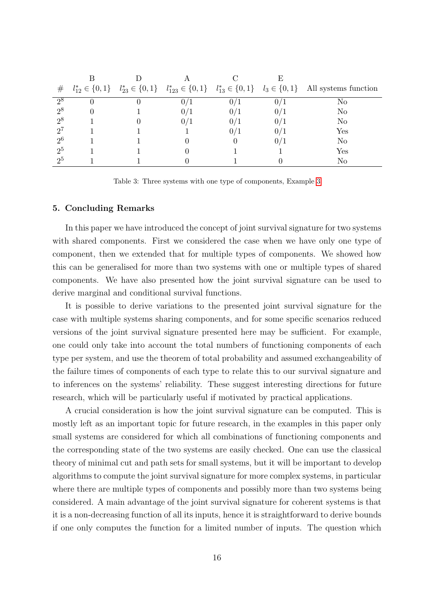| #              |  |   |  | $l_{12}^* \in \{0,1\}$ $l_{23}^* \in \{0,1\}$ $l_{123}^* \in \{0,1\}$ $l_{13}^* \in \{0,1\}$ $l_3 \in \{0,1\}$ All systems function |
|----------------|--|---|--|-------------------------------------------------------------------------------------------------------------------------------------|
| $2^8$          |  |   |  | No                                                                                                                                  |
| $2^8$          |  |   |  | No                                                                                                                                  |
| $2^8$          |  |   |  | No                                                                                                                                  |
| $2^7$          |  |   |  | $\operatorname{Yes}$                                                                                                                |
| 2 <sup>6</sup> |  |   |  | No                                                                                                                                  |
| 2 <sup>5</sup> |  | 0 |  | Yes                                                                                                                                 |
| 2 <sub>5</sub> |  |   |  | No                                                                                                                                  |

Table 3: Three systems with one type of components, Example [3](#page-14-0)

## <span id="page-15-0"></span>5. Concluding Remarks

In this paper we have introduced the concept of joint survival signature for two systems with shared components. First we considered the case when we have only one type of component, then we extended that for multiple types of components. We showed how this can be generalised for more than two systems with one or multiple types of shared components. We have also presented how the joint survival signature can be used to derive marginal and conditional survival functions.

It is possible to derive variations to the presented joint survival signature for the case with multiple systems sharing components, and for some specific scenarios reduced versions of the joint survival signature presented here may be sufficient. For example, one could only take into account the total numbers of functioning components of each type per system, and use the theorem of total probability and assumed exchangeability of the failure times of components of each type to relate this to our survival signature and to inferences on the systems' reliability. These suggest interesting directions for future research, which will be particularly useful if motivated by practical applications.

A crucial consideration is how the joint survival signature can be computed. This is mostly left as an important topic for future research, in the examples in this paper only small systems are considered for which all combinations of functioning components and the corresponding state of the two systems are easily checked. One can use the classical theory of minimal cut and path sets for small systems, but it will be important to develop algorithms to compute the joint survival signature for more complex systems, in particular where there are multiple types of components and possibly more than two systems being considered. A main advantage of the joint survival signature for coherent systems is that it is a non-decreasing function of all its inputs, hence it is straightforward to derive bounds if one only computes the function for a limited number of inputs. The question which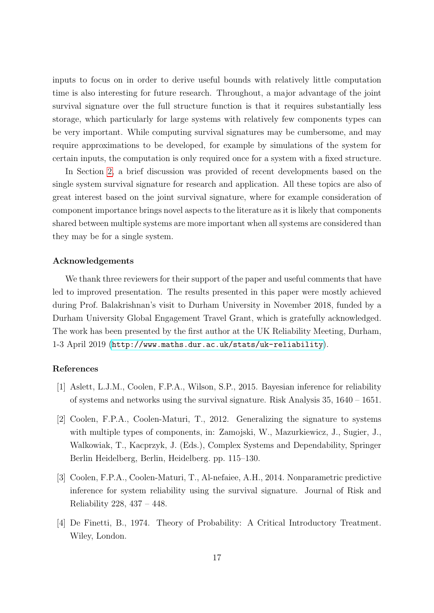inputs to focus on in order to derive useful bounds with relatively little computation time is also interesting for future research. Throughout, a major advantage of the joint survival signature over the full structure function is that it requires substantially less storage, which particularly for large systems with relatively few components types can be very important. While computing survival signatures may be cumbersome, and may require approximations to be developed, for example by simulations of the system for certain inputs, the computation is only required once for a system with a fixed structure.

In Section [2,](#page-2-0) a brief discussion was provided of recent developments based on the single system survival signature for research and application. All these topics are also of great interest based on the joint survival signature, where for example consideration of component importance brings novel aspects to the literature as it is likely that components shared between multiple systems are more important when all systems are considered than they may be for a single system.

#### Acknowledgements

We thank three reviewers for their support of the paper and useful comments that have led to improved presentation. The results presented in this paper were mostly achieved during Prof. Balakrishnan's visit to Durham University in November 2018, funded by a Durham University Global Engagement Travel Grant, which is gratefully acknowledged. The work has been presented by the first author at the UK Reliability Meeting, Durham, 1-3 April 2019 (<http://www.maths.dur.ac.uk/stats/uk-reliability>).

# References

- <span id="page-16-3"></span>[1] Aslett, L.J.M., Coolen, F.P.A., Wilson, S.P., 2015. Bayesian inference for reliability of systems and networks using the survival signature. Risk Analysis 35, 1640 – 1651.
- <span id="page-16-0"></span>[2] Coolen, F.P.A., Coolen-Maturi, T., 2012. Generalizing the signature to systems with multiple types of components, in: Zamojski, W., Mazurkiewicz, J., Sugier, J., Walkowiak, T., Kacprzyk, J. (Eds.), Complex Systems and Dependability, Springer Berlin Heidelberg, Berlin, Heidelberg. pp. 115–130.
- <span id="page-16-2"></span>[3] Coolen, F.P.A., Coolen-Maturi, T., Al-nefaiee, A.H., 2014. Nonparametric predictive inference for system reliability using the survival signature. Journal of Risk and Reliability 228, 437 – 448.
- <span id="page-16-1"></span>[4] De Finetti, B., 1974. Theory of Probability: A Critical Introductory Treatment. Wiley, London.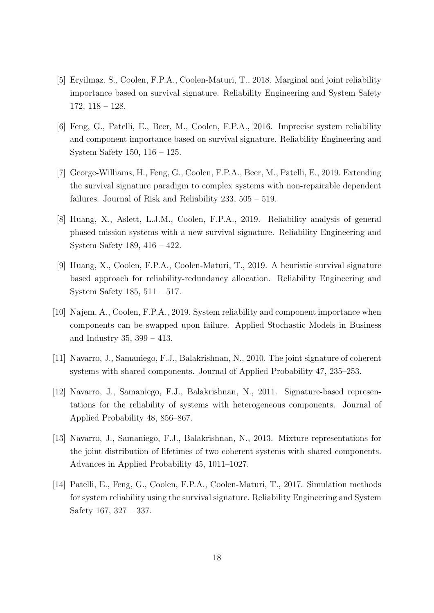- <span id="page-17-5"></span>[5] Eryilmaz, S., Coolen, F.P.A., Coolen-Maturi, T., 2018. Marginal and joint reliability importance based on survival signature. Reliability Engineering and System Safety 172, 118 – 128.
- <span id="page-17-8"></span>[6] Feng, G., Patelli, E., Beer, M., Coolen, F.P.A., 2016. Imprecise system reliability and component importance based on survival signature. Reliability Engineering and System Safety 150, 116 – 125.
- <span id="page-17-3"></span>[7] George-Williams, H., Feng, G., Coolen, F.P.A., Beer, M., Patelli, E., 2019. Extending the survival signature paradigm to complex systems with non-repairable dependent failures. Journal of Risk and Reliability 233, 505 – 519.
- <span id="page-17-7"></span>[8] Huang, X., Aslett, L.J.M., Coolen, F.P.A., 2019. Reliability analysis of general phased mission systems with a new survival signature. Reliability Engineering and System Safety 189, 416 – 422.
- <span id="page-17-6"></span>[9] Huang, X., Coolen, F.P.A., Coolen-Maturi, T., 2019. A heuristic survival signature based approach for reliability-redundancy allocation. Reliability Engineering and System Safety 185, 511 – 517.
- <span id="page-17-9"></span>[10] Najem, A., Coolen, F.P.A., 2019. System reliability and component importance when components can be swapped upon failure. Applied Stochastic Models in Business and Industry 35, 399 – 413.
- <span id="page-17-2"></span>[11] Navarro, J., Samaniego, F.J., Balakrishnan, N., 2010. The joint signature of coherent systems with shared components. Journal of Applied Probability 47, 235–253.
- <span id="page-17-1"></span>[12] Navarro, J., Samaniego, F.J., Balakrishnan, N., 2011. Signature-based representations for the reliability of systems with heterogeneous components. Journal of Applied Probability 48, 856–867.
- <span id="page-17-0"></span>[13] Navarro, J., Samaniego, F.J., Balakrishnan, N., 2013. Mixture representations for the joint distribution of lifetimes of two coherent systems with shared components. Advances in Applied Probability 45, 1011–1027.
- <span id="page-17-4"></span>[14] Patelli, E., Feng, G., Coolen, F.P.A., Coolen-Maturi, T., 2017. Simulation methods for system reliability using the survival signature. Reliability Engineering and System Safety 167, 327 – 337.